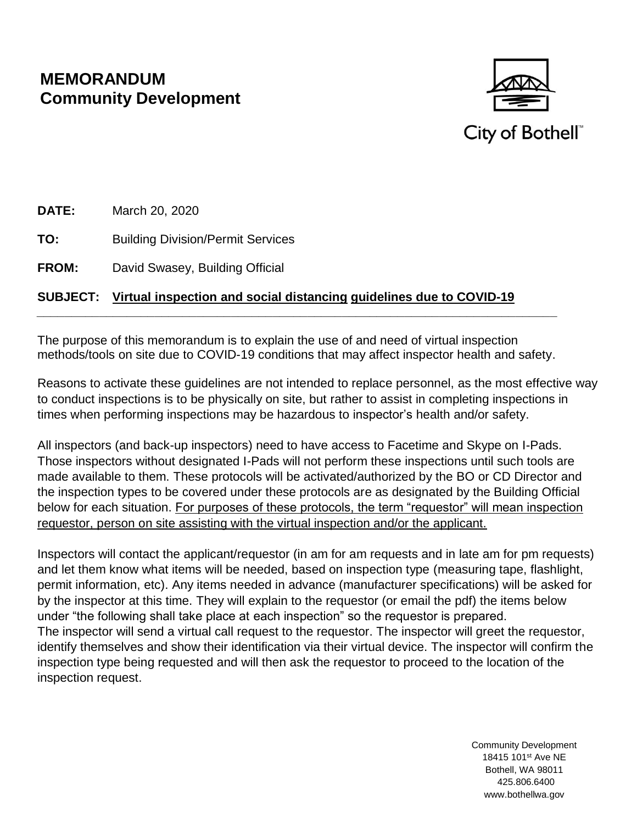# **MEMORANDUM Community Development**



City of Bothell®

**DATE:** March 20, 2020

**TO:** Building Division/Permit Services

**FROM:** David Swasey, Building Official

### **SUBJECT: Virtual inspection and social distancing guidelines due to COVID-19**

The purpose of this memorandum is to explain the use of and need of virtual inspection methods/tools on site due to COVID-19 conditions that may affect inspector health and safety.

*\_\_\_\_\_\_\_\_\_\_\_\_\_\_\_\_\_\_\_\_\_\_\_\_\_\_\_\_\_\_\_\_\_\_\_\_\_\_\_\_\_\_\_\_\_\_\_\_\_\_\_\_\_\_\_\_\_\_\_\_\_\_\_\_\_\_\_\_\_\_\_\_\_\_\_*

Reasons to activate these guidelines are not intended to replace personnel, as the most effective way to conduct inspections is to be physically on site, but rather to assist in completing inspections in times when performing inspections may be hazardous to inspector's health and/or safety.

All inspectors (and back-up inspectors) need to have access to Facetime and Skype on I-Pads. Those inspectors without designated I-Pads will not perform these inspections until such tools are made available to them. These protocols will be activated/authorized by the BO or CD Director and the inspection types to be covered under these protocols are as designated by the Building Official below for each situation. For purposes of these protocols, the term "requestor" will mean inspection requestor, person on site assisting with the virtual inspection and/or the applicant.

Inspectors will contact the applicant/requestor (in am for am requests and in late am for pm requests) and let them know what items will be needed, based on inspection type (measuring tape, flashlight, permit information, etc). Any items needed in advance (manufacturer specifications) will be asked for by the inspector at this time. They will explain to the requestor (or email the pdf) the items below under "the following shall take place at each inspection" so the requestor is prepared. The inspector will send a virtual call request to the requestor. The inspector will greet the requestor, identify themselves and show their identification via their virtual device. The inspector will confirm the inspection type being requested and will then ask the requestor to proceed to the location of the inspection request.

> Community Development 18415 101st Ave NE Bothell, WA 98011 425.806.6400 www.bothellwa.gov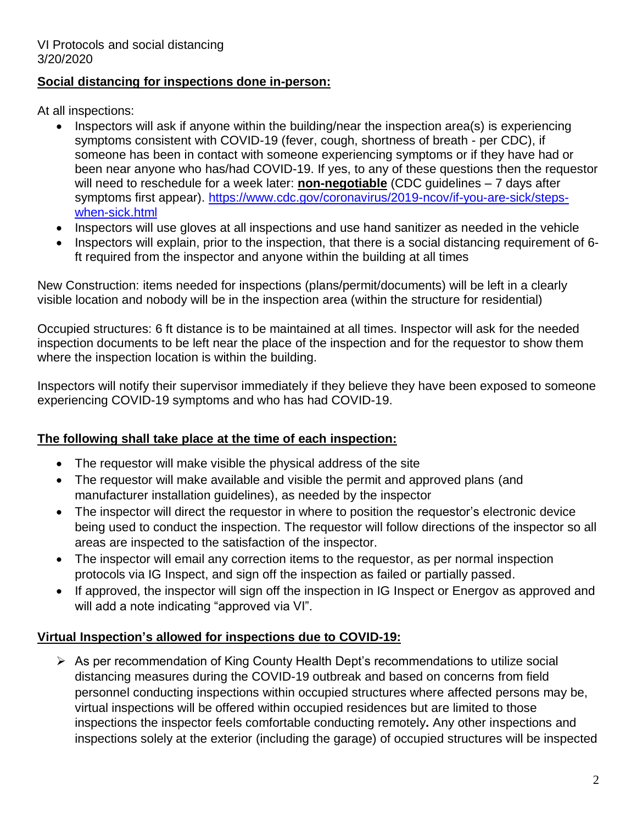#### **Social distancing for inspections done in-person:**

At all inspections:

- Inspectors will ask if anyone within the building/near the inspection area(s) is experiencing symptoms consistent with COVID-19 (fever, cough, shortness of breath - per CDC), if someone has been in contact with someone experiencing symptoms or if they have had or been near anyone who has/had COVID-19. If yes, to any of these questions then the requestor will need to reschedule for a week later: **non-negotiable** (CDC guidelines – 7 days after symptoms first appear). [https://www.cdc.gov/coronavirus/2019-ncov/if-you-are-sick/steps](https://www.cdc.gov/coronavirus/2019-ncov/if-you-are-sick/steps-when-sick.html)[when-sick.html](https://www.cdc.gov/coronavirus/2019-ncov/if-you-are-sick/steps-when-sick.html)
- Inspectors will use gloves at all inspections and use hand sanitizer as needed in the vehicle
- Inspectors will explain, prior to the inspection, that there is a social distancing requirement of 6 ft required from the inspector and anyone within the building at all times

New Construction: items needed for inspections (plans/permit/documents) will be left in a clearly visible location and nobody will be in the inspection area (within the structure for residential)

Occupied structures: 6 ft distance is to be maintained at all times. Inspector will ask for the needed inspection documents to be left near the place of the inspection and for the requestor to show them where the inspection location is within the building.

Inspectors will notify their supervisor immediately if they believe they have been exposed to someone experiencing COVID-19 symptoms and who has had COVID-19.

# **The following shall take place at the time of each inspection:**

- The requestor will make visible the physical address of the site
- The requestor will make available and visible the permit and approved plans (and manufacturer installation guidelines), as needed by the inspector
- The inspector will direct the requestor in where to position the requestor's electronic device being used to conduct the inspection. The requestor will follow directions of the inspector so all areas are inspected to the satisfaction of the inspector.
- The inspector will email any correction items to the requestor, as per normal inspection protocols via IG Inspect, and sign off the inspection as failed or partially passed.
- If approved, the inspector will sign off the inspection in IG Inspect or Energov as approved and will add a note indicating "approved via VI".

# **Virtual Inspection's allowed for inspections due to COVID-19:**

 As per recommendation of King County Health Dept's recommendations to utilize social distancing measures during the COVID-19 outbreak and based on concerns from field personnel conducting inspections within occupied structures where affected persons may be, virtual inspections will be offered within occupied residences but are limited to those inspections the inspector feels comfortable conducting remotely**.** Any other inspections and inspections solely at the exterior (including the garage) of occupied structures will be inspected